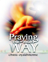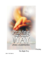

**The Right Way** 

**I S B N** – **9 7 8 - 3 7 8 6 6 - 0 - 1**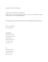*Copyright © 2004 LoveWorld Publishing*

All rights reserved under International Copyright Law.

Contents and/or cover may not be reproduced in whole or in part in any form without the express written permission of LoveWorld Publishing Ministry.

All scripture quotations are taken from the King James Version of the Bible unless otherwise indicated.

*Believers' LoveWorld Inc. a.k.a Christ Embassy*

**United Kingdom:**

Christ Embassy Int'l Office LoveWorld Conference Center Cheriton High Street, Folkestone, Kent CT19 4QJ Tel:+44(0)1303 270970 Fax: 01303 274 372

**Usa:** Christ Embassy Houston 12400 Westheimer Road, Houston, Texas 77077 Tel:+1-281-759-5111;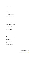+1-281-759-6218

#### **Canada:**

101 RossDean Drive, Toronto, ON, Canada M9L 1S6 Tel/Fax:+1-416-746 5080

#### **South Africa:**

303 Pretoria Avenue Cnr. Harley and Bram Fischer, Randburg, Gauteng South Africa. Tel: +27 11 3260971 +27 11 3260972

#### **Nigeria:**

LoveWorld Conference Center Kudirat Abiola Way, Oregun, Ikeja, Lagos P.O. Box 13563 Ikeja, Lagos. Tel:+234-8023324188, +234-8052464131, +234-1-8925724

*email: cec@christembassy.org*

*website: [www.christembassy.org](http://www.christembassy.org/)*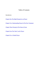# Table of Contents

Introduction

Chapter One The Right Perspective on Prayer

Chapter Two Understanding Prayer In The New Testament

Chapter Three Praying In The Name of Jesus

Chapter Four The 'Real' Lord's Prayer

Chapter Five A Model Prayer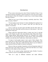#### Introduction

*I* once read an interesting story about Charles Grandison Finney. It was said that he had been attending a church meeting for some time and wouldn't give his heart to Christ. He wouldn't so much as say a word of prayer during the times of prayer.

While he was in one of those meetings, somebody asked him, "Why don't you pray, Charles?"

"I'm not going to pray because I've been attending this meeting for so long and from what I can see, it doesn't seem like you folks get any answers," he retorted.

Later on when he was born again and filled with the Holy Ghost, he found out why those folks didn't get any answers to their prayers—they were praying the wrong way!

Finney made this observation almost a century ago, but it's sad that many in the Church are still in the same dilemma today. Many Holy Ghostfilled, tongue-talking, Bible-quoting believers live frustrated lives simply because they're not receiving answers to their prayers. Some will honestly confide in you that they don't really know what to pray for and how.

To many of such people, prayer is just a part of their religion. They believe they have to pray because God requires them to, but they don't even know why they pray. They pray, neither knowing what to say nor whether to expect answers; but God's plan is to answer our prayers.

However, there are myriads of questions on this all-important subject of prayer that arise in the mind of many. It would seem that there are as many questions on the subject as there are people.

"Why are my prayers going unanswered when Brother So-and-so always seems to receive everything he asks God for?"

"How do I pray in different situations and under different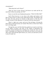circumstances?"

"What about the Lord's Prayer?"

"Why do I have to pray anyway? God knows my needs and He can meet them without my praying, can't He?"

Some even ask the most fundamental question: "WHAT IS PRAYER?"

God's Word, however, is very clear on the subject and teaches us all that we need to know in order to pray right and get results. The problem with the many who pray and get no answers to their prayers is that they pray wrongly, because of their ignorance of what the Word says about prayer!

There's a right way to pray; and one of the privileges of having the Holy Ghost is that He becomes our Teacher Who shows us from God's Word how to do things right.

Through the years, the Holy Spirit has guided me to teach several times on the subject of prayer, and some of the wealth of information and revelation released through those teachings have formed the basis for this book. I encourage you to open up your mind and your heart as you read, and allow God's Word and His Spirit instruct you, correct you and teach you how to pray the right way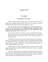## Chapter ONE

# The Right

#### Perspective on Prayer

Alot of people wonder why their prayers are not being answered and things aren't working right for them. Well, that's why prayer is such an important subject and we must know the right way to do it.

The first thought that must be established in your mind in order for you to be able to pray effectively is this: **God wants to hear and answer your prayers. If He had planned it any other way, He would never have required you to pray.** That's why He said,

"*If my people, which are called by my name, shall humble themselves, and pray, and seek my face, and turn from their wicked ways; then will I hear from heaven, and will forgive their sin, and will heal their land"* (2 Chronicles 7:14).

Consider the Lord Jesus: He always received answers to His prayers. He never once prayed in vain. When we pray we should not expect to have any less than He. That's because He's given us the authority to use His Name. When we speak in His Name, it's as authoritative and effective as Jesus Himself speaking to the Father.

Sadly though, too many Christians don't know this because they don't spend enough time to study the Word. So they don't enjoy a personal relationship with God.

We need to know God as our Father and our Friend; One who's not far away and can be trusted. If God is a stranger to you, then you can't trust Him; that's the reason for doubt. But when you know Him, you'll have faith in Him, and when you have faith in Him, you'll trust Him.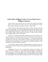# **God Is More Willing To Give To You Than You're Willing To Receive**

"*And it came to pass, when he was in a certain city, behold a man full of leprosy: who seeing Jesus fell on his face, and besought him, saying, Lord, if thou wilt, thou canst make me clean"* (Luke 5:12).

Notice this man didn't question the power of God. He knew God had the power to heal him. As a leper he had heard about Jesus the Healer, so he wasn't questioning His power to heal him of his leprosy. His only problem was he didn't know if Jesus would be willing to. In other words, he knew Jesus *could,* but didn't know if He *would.*

There are a lot of people like this. They know God can, but they're not sure He wants to. They don't know His will. They're the ones who say, *"*Well, I don't know if it's God's will to heal me,*"* so they run to the doctor for help. If it's not God's will to heal you and you go to the doctor to get healed, you'll be committing a sin by trying to get something (healing, in this case) that's not God's will for you to have!

A lot of times, when it comes to spiritual things, we're quick to say we don't know God's will while, at the same time we demonstrate a desire for good things.

Philippians 2:13 says, *"For it is God which worketh in you both to will and to do of his good pleasure."* That desire for good things is a reflection of God's desire in us. There's no father who wants his children to go through the same problems he went through. If you're a good parent, you won't plan for your children to have the kind of trouble you had. You work hard so they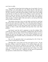won't have to suffer.

You couldn't be better than God in taking care of your family. If you're more willing to do good things for your family than He, then He's not qualified to be who we call Him. But if God is God and He is who His Word says He is, then He's better than the best daddy on earth. God is more willing to provide for you than you could ever be willing to receive provision. He desires to bless you and give you good things more than you're ready to receive them. That's why Jesus said you don't need to make vain repetitions when you pray. It doesn't matter what your need is, you must get this idea and let it affect your prayer life.

That leprous man knew Jesus was the Healer and that He could heal him, but he wasn't sure if He wanted to. This is the same reason many don't receive miracles in their lives today. They're not certain that God is willing to do something for them. It's the same reason some even believe God put a sickness on them to make them humble and keep them from some other problem.

God doesn't need the devil's equipment to train His children! Why would He use Satan's tools as instruments of righteousness after He told us he's a murderer and the father of lies? If God could put sickness on you to humble you and you took drugs to take away God's instrument for your required humility, that invariably means you and Satan are in the same camp, lying against God!

But we're the generation that's not questioning the will of God, for we've come to accept God as our Father.

That leper said, *"Lord, if thou wilt, thou canst make me clean*.*"* No one had been willing to touch him because of his terrible disease, but Jesus touched him to show him how willing He was to heal him. The Bible says, "*And he (Jesus) put forth his hand, and touched him, saying, I will: be thou clean. And immediately the leprosy departed from him"* (Luke 5:13)**.** That statement: *"I will; be thou clean"* settled for all time and in all generations any questions or doubts about God's willingness to heal.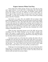#### **Expect Answers When You Pray**

Some people don't bother praying, because even when they do, they don't expect answers. If you don't have a relationship with God through Jesus Christ, that is, you're not born again, you shouldn't expect answers because He wouldn't even hear you. However, if you're God's child, you have a right to expect answers when you pray; but to have those answers consistently, you must pray according to God's Word revealed concerning prayer in the New Testament.

God invites us to pray; He's not troubled with our prayers. Some people think they shouldn't bother God with their prayers because He already has a lot of problems to solve. They figure that with so many people calling on God at the same time, He might just get confused, and so in order not to compound His problems they decide not to pray to Him. Don't think that way about God. He's not confused by our prayers. Don't wonder how He hears when so many people pray to Him at the same time. Remember He is God! Nothing is impossible with Him.

When you pray, God listens because you're His child, and you pray according to His will. Whilst listening to you, He doesn't consider your prayer with respect to another person's. He doesn't hold something back from you just because another person has asked for the same thing you asked for. He relates with you on a personal level.

God doesn't prefer one of His kids above another; He relates with you as though you're the only one in the whole wide world. Did it ever occur to you that if you were the only person in the whole earth Jesus would still have come to die for you? That should let you know just how personal God is with you. He said, *"…ask, and ye shall receive, that your joy may be full"* (John 16:24). This is God's Word to you: If you ask Him, you shall receive!

People get a lot of encouragement to pray, but a lot of times they don't know how to. It's one thing to tell someone to pray and to pray hard, but it's another thing to let them know how to pray in such a way they can have the desired results and make the necessary impact.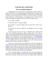# **God May Have Said It But You Can Still Change It!**

Through prayers we can prevail on circum-stances. God has shown us in His Word that we can change anything, including things that were divinely destined to be. This may sound incredible to you but it's in the Bible! God may have said you're going to have it one way, but if you discover you don't want it that way, you can change it. It's amazing, but it's true. The only reasons something can happen to you as God said it would are when:

I. You want it to happen

II. You don't know it's going to happen

III. You know it's going to happen, but you don't know what to do to change it

IV. You don't do what you should do, even though you know it's going to happen.

God doesn't run our lives the way we think He does. Whenever He wants to do something nobody can change, nobody gets to know about it until it's done. Moses said the things that are revealed belong to us and to our children, but the things that are not revealed belong to God (Deuteronomy 29:29). So when He doesn't want any human influence on it, and when there can be no human influence on it, He doesn't reveal it! But if He reveals it to you, He is telling you if you want to change it, you can! And you can only change it when you pray, and pray the right way!

There are several accounts in the Scriptures of men who changed the mind of God from what He had determined to do. One of such accounts is in Exodus 32:7-14 where we read of how Moses stood between God and the children of Israel. God had determined to destroy them for their rebellion and stubbornness and raise a new generation from Moses, but Moses prevailed on God and prevented Him from doing as He had purposed.

We see another instance in 2 Kings 20 where one man changed the course of an event that had been divinely ordered of God. King Hezekiah had been sick to the point of death, and one day, the prophet Isaiah walked into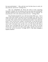his room and declared, *"...Thus saith the Lord, Set thine house in order; for thou shalt die, and not live"* (2 Kings 20:1).

This was undoubtedly the Word and mind of God concerning Hezekiah's situation. He was doomed to die by none other than God Himself, and there seemed to be no way out. But in the next verse, we read that *"he turned his face to the wall, and prayed unto the Lord..."* (2 Kings 20:2).

King Hezekiah pleaded his case with God and the Bible says, *"And it came to pass afore Isaiah was gone out into the middle court, that the word of the Lord came to him, saying, Turn again, and tell Hezekiah the captain of my people, Thus saith the Lord, the God of David thy father, I have heard thy prayer, I have seen thy tears: behold, I will heal thee: on the third day thou shalt go up unto the house of the Lord. And I will add unto thy days fifteen years; and I will deliver thee and this city out of the hand of the king of Assyria; and I will defend this city for mine own sake, and for my servant David's sake. And Isaiah said, Take a lump of figs. And they took and laid it on the boil, and he recovered"* (2 Kings 20:4-7). Talk about changing a hopeless situation!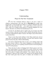#### Chapter TWO

#### Understanding

#### Prayer In The New Testament

*F*or the New Testament believer, prayer is not just <sup>a</sup> means of religious communication with God; **it's a fellowship.**Some people pray because they've been brought up to think it's a religious obligation they must fulfill. True, the Lord Jesus said, *"…men ought always to pray and not to faint*" (Luke 18:1), letting us know prayer is a spiritual obligation for every believer. But that's not all that God intended prayer to be.

In Luke 18:1, the Master said we ought to pray. So we know one of the reasons we pray is that the Lord Jesus said we should. Beyond that, however, we need to understand the subject of prayer; the things to pray about and how to pray about them.

Prayer is more than merely talking to God. Many people pray and yet many don't, but among the many that pray, a lot don't have answers to their prayers because they pray without understanding.

We need to understand that when we pray, we're making contact with the divine essence within us. This contact strengthens our relationship with God. Prayer is one sure way of getting yourself focused on God and getting a "rub-off" in His presence.

Prayer also has its place in bringing God's Word to pass in our lives. There are certain things we see provided for us in God's Word, but we need to do more than merely confessing to possess them. Someone may say, "I'm full of the spirit of wisdom and revelation," but it doesn't come just by confessing it, otherwise Paul wouldn't have prayed for the Ephesian church that God would grant them the spirit of wisdom and revelation in the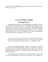knowledge of Him  $(Ephesians 1:17)$ . You've got to pray for that Word to take root in your life.

# **You Can Change Anything Through Prayer!**

Remember the Lord Jesus said in  $Luke 18:1$  that we should pray always</u> and not give up. Through prayers we can actually change things. We can change the course of our lives and our circumstances. We can change things in our homes, our jobs, our finances and our bodies. We can even change things in the lives of other people, things in our schools, our cities, our nation and the world! This is why it's so important that we study and understand how to pray effectively. In Matthew 17:20, Jesus said,

"*...verily I say unto you, If ye have faith as a grain of mustard seed, ye shall say unto this mountain, Remove hence to yonder place; and it shall remove; and nothing shall be impossible unto you"* (Matthew 17:20).

I like it when Jesus talks like this. It gives me the reason to be hopeful and believe that anything, absolutely anything, is possible! A man had brought his lunatic son to Jesus' disciples to cast the devil out of him. His disciples tried and couldn't, so he took his boy to Jesus who then cast the devil out of the boy.

The disciples later asked the Master why they couldn't cast the devil out and He answered them, *"because of your unbelief."* Then He added, *"If*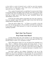*ye have faith as a grain of mustard seed, ye shall say unto this mountain, Remove hence to yonder place; and it shall remove; and nothing shall be impossible unto you"* (Matthew 17:20).

Now, a grain of mustard seed is so small that if you put several of them in your palm and blow just lightly, they'll fall off. Jesus said if you have faith as small as that grain of mustard seed you will say to a mountain to move from here to there, and it will! Then He said, "*NOTHING SHALL BE IMPOSSIBLE UNTO YOU!"*

If He had said nothing shall be impossible unto God, that would have been easy enough to agree with; everybody ought to know that. But He said nothing shall be impossible unto *YOU*.

Jesus also said in Mark 9:23, *"...all things are possible to him that believeth.* " So the big question is: Do you believe, and what do you believe? If you believe God's Word and put it to work in your prayer life, then anything is possible!

#### **Don't Just 'Say Prayers, '**

#### **Pray From Your Heart!**

At many family altars, they come together to 'say' their prayers, but in this dispensation of the Church where we've been born again and filled with the Holy Ghost, we don't 'say' our prayers, we pray!

God's Word doesn't teach us to say our prayers but commands us to pray. There's a difference between praying and saying prayers. A lot of people have prayer books from which they recite prayers every day. They even recite 'The Lord's Prayer' (we'll take a closer look at this in chapter 4) from their little prayer books. It is important that prayer is heartfelt, even if you're reading or reciting it.

God hasn't called us into religion; Christianity is not one of the religions of the world. Christianity is the pulsating life of the resurrected Christ in the spirit, soul and body of a human person. It's the divine life of God imparted to a human spirit here on earth. It's God's life at work in a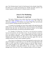man. The Christian doesn't look for God because he has already found Him. He doesn't try to reach God because he's already met Him, and he's not trying to appease God because he's already at peace with Him.

# **Jesus Is Not Mediating**

#### **Between Us And God**

The book of Hebrews lets us know that Jesus is our great High priest before the Father (Hebrews 2:17; 3:1; 4:14; 8:1; 9:11). He is also our Advocate (1 John 2:1). His ministry as our great High Priest and advocate however doesn't include praying to the Father for us.

I've heard a lot of people say Jesus Christ stands in the gap between the Father and us, but what the Bible teaches is that Christ Jesus is the Mediator between God and men, not between God and the Church. So He stands between God and sinners, not between God and His Church.

In 1 Timothy 2:5-6 Paul says, "*For there is one God and one mediator between God and men, the man Christ Jesus; who gave himself a ransom for all to be testified in due time."* This is talking about the whole world and God, and someone standing in the gap. Jesus is man's Kinsman-redeemer, Mediator and Umpire. But for us who have been born again, He's not our mediator because we don't need a mediator anymore.

True, Jesus is our Redeemer, because He redeemed us and saved us, but since He brought us in and made us to sit with Him at the right hand of the Father, we don't need Him to mediate between us and the Father anymore. We've been brought to live right in the Father's presence. This is why it would be absolutely wrong and ineffective for us to pray to the Father *through* Jesus Christ our Lord. This is explained further in the next chapter.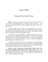# Chapter THREE

#### Praying In The Name Of Jesus

*B*efore you were born again, the Name of Jesus was given to you so you could come through that Name to God and be saved. Jesus said, *"…I am the way, the truth, and the life: no man cometh unto the Father, but by me"* (John 14:6).

In other words, He said, "*Come to God through me!"* Now you've accepted His invitation and have come to God through Him. Having come to God and received eternal life and the divine nature, you became one with Him. You became a citizen of the Kingdom of God.

Now that you're in His kingdom, you have His kind of life, you have already come to the Father and you don't go back. You came to the Father once through Christ, and having come to Him, you don't keep going and coming, you stay in His presence! This is why you cannot and should not pray *"through Jesus Christ our Lord*."

You may have prayed this way for a long time in your life but that doesn't make it right. You may even say it worked for you. It probably didn't and you thought it did, but even if it worked, you were a baby then and God overlooked your ignorance. Now, it's time to grow up!

**What we have revealed to us from God's Word in the New Testament is praying to the Father** *in* **the Name of Jesus.** Some folks don't understand this and that's why they have problems getting answers to their prayers. They've had so many of their prayers go unanswered that they've lost all confidence in praying.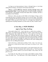As long as you keep praying to Jesus or through Jesus, or you keep asking Him for things, your prayers will remain unanswered.

**There's a great difference between praying through Jesus and praying in His Name.** To pray through Jesus is to pray through a medium to God, and that's unacceptable, because that makes Him a medium, and He is no medium to the Christian.

However, when you pray to the Father in the Name of Jesus, you're exercising the power of attorney He gave you to use His Name. This means you're operating the full legal powers He gave you to act in His stead and on His behalf. When you pray in His Name, it's as though Jesus Himself were speaking and everything responds to you the same way they would to Jesus.

## **A New Day, A NEW PEOPLE**

# **And A New Way To Pray**

Jesus said in John 16:23*, "And in that day, ye shall ask me nothing…"* This means "You shall not pray through Me or to Me." I know there are some Bible translations that render this verse as, "You shall not ask Me any questions," but that falls short because it doesn't fit within the context. They had been asking Jesus a lot of questions before this point and that's probably the reason those translators thought He meant they should ask Him no more questions. But when you read further you'll discover He wasn't talking about questions, He was talking about prayer.

"*And in that day ye shall ask me nothing. Verily, verily, I say unto you, whatsoever ye shall ask the Father in my name, he will give it you" Joh*n 16:23).

Here the Lord Jesus lets us know there's a new kind of prayer for a new kind of people – the New Testament folk! And he tells us, "You'll not have to pray to Me, because whatever you ask the Father in My Name, He will give it to you."

So in this new day what we do is pray to the Father in Jesus' Name. Notice He didn't say, "You shall pray to the Father through Me." He said,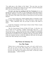"You shall pray to the Father in My Name." The next time you hear somebody pray "through Jesus Christ our Lord, Amen," just know that prayer didn't have an answer because it didn't work!

**We don't ask Jesus for anything in the New Testament,** but we can tell Him how much we love Him; we can worship Him, praise Him and give Him thanks, although, we also give thanks to the Father in the Name of Jesus Christ. We pray to the Father in the Name of Jesus and not to the Lord Jesus Himself.

A lot of times people pray without thinking about or listening to what they're saying. For example, they say, "Dear Lord Jesus, I pray in Jesus' Name…" That's ridiculous! How can you pray to Jesus in the Name of Jesus?

In the New Testament, we don't pray to Jesus in Jesus' Name, we pray to the Father in Jesus' Name.

The *New International Version* of John 16:23 says, *"in that day, you will no longer ask me anything.*" Another version puts it this way: "…*you will not pray to me…*" Here, the Lord Jesus wasn't talking about a particular 24-hour day He had appointed after He got to heaven, neither was He talking about the day of crucifixion. He was referring to the day of salvation, the day of the new creation, the day in which the righteous shall enter into the gates of the Lord. That's the day we live in today.

## **The Power of Attorney To**

#### **Use The Name**

"*Hitherto have ye asked nothing in my name: ask, and ye shall receive, that your joy may be full. These things have I spoken unto you in proverbs: but the time cometh, when I shall no more speak unto you in proverbs, but I shall shew you plainly of the Father. At that day ye shall ask in my name…"* (John 16:24-26).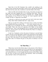Back then in the Old Testament, they couldn't ask anything in the Name of Jesus, because the time hadn't come to do so. But then He told them that when the time came, they would have to ask the Father in His Name.

There are folks who teach that when we pray, Jesus takes our prayers to the Father and starts begging Him to do something about them. Then the Father, after a lot of begging and cajoling, eventually says, "Alright, alright, Son, because of You, I'll do it!" No way sir! Jesus expressly said He wouldn't do that, it's right there in the Bible!

"*At that day ye shall ask in my name and I SAY NOT UNTO YOU THAT I WILL PRAY THE FATHER FOR YOU"* (John 16:26).

Did you see that? He's telling us He doesn't have to talk to the Father on our behalf and He lets us know why – *"*…*the Father himself loveth you."* The Father loves you Himself; He doesn't need anybody talking to Him on your behalf. That's why Jesus isn't praying to the Father on your behalf. Instead He says, "Don't come through Me, go by yourself, because the Father loves you. All you need is use My Name because My Name is in charge of the New Testament."

In the New Testament, we have the power of attorney to use the Name of Jesus. He gave us the legal right to stand in His stead and act in His behalf. This is too much for the religious mind to comprehend, but it's the truth all the same. This is the reason we can command a cancer to die in the Name of Jesus and it dies. It's because He gave us the power of attorney to act for Him!

#### "**In That Day..."**

When Jesus went into the Holiest place in the presence of the Father to present His blood as the sacrifice for sin, He went there as our representative. From the moment we believed in His redemptive work and accepted Him as our Lord and Saviour, we were brought into the presence of the Father within the veil. Now, we don't go in and out of His presence. That's our dwelling place and that's where we'll remain forever.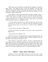Where Jesus said, "In that day you shall ask Me nothing," He meant in other words, "You shall not pray to Me for anything." He also said, "Whatever you ask the Father in My Name, He will give to you." Notice He didn't say, "Whatever you ask the Father in My Name, He will give to you if you believe and have faith in Me."

Jesus talked so much about faith that if He didn't include it here, it couldn't have been an oversight or error of any kind. He had said before, *"...If ye have faith as a grain of mustard seed, ye shall say unto this mountain, Remove hence to yonder place; and it shall remove; and nothing shall be impossible unto you"* (Matthew 17:20).

"*...If ye have faith, and doubt not, ye shall not only do this which is done to the fig tree, but also if ye shall say unto this mountain, Be thou removed, and be thou cast into the sea; it shall be done"* (Matthew 21:21).

"*...Be not afraid, only believe"* (Mark 5:36).

"*...If thou canst believe, all things are possible to him that believeth"* (Mark 9:23).

"*...Have faith in God"* (Mark 11:22).

This time, however, He purposely didn't include the faith-element. All He said was, "In that day, you shall not pray to Me but whatsoever you ask the Father in My Name, He will give to you."

This is because *"in that day*," which is *"this day*," only those who are born again, who are called the believing ones and who have faith in the ability of Jesus' Name are privileged to ask the Father in His Name. They don't need to believe because they're already the believing ones. They don't need to be told to have faith because they're already the children of faith!

#### **JESUS – Name Above All Names**

"*Wherefore God also hath highly exalted him, and given him a name which is above every name: That at the name of Jesus every knee should*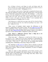*bow, of things in heaven, and things in earth, and things under the earth; And that every tongue should confess that Jesus Christ is Lord, to the glory of God the Father"* (Philippians 2:9-11).

The Lord Jesus wasn't given a Name that's recognized in heaven only. His Name has influence in heaven, earth, hell and the grave. Jesus has been given a Name that is greater than every name. The statement: *"…at the name of Jesus every knee should bow, of things in heaven, and things in earth, and things under the earth; And that every tongue should confess that Jesus Christ is Lord, to the glory of God the Father"* is not a promise but a sovereign declaration of Almighty God. It's a law!

"*And whatsoever ye shall ask in my name, that will I do, that the Father may be glorified in the Son. If ye shall ask anything in my name, I will do it"* (John 14:13-14).

These verses of Scripture clearly express the differences in the believer's employment of the Name of Jesus. The one (John 14:13-14) talks about establishing a thing, making a demand or a declaration in the Name of Jesus; the other (John 16:23-24) talks about making a request to the Father in the Name of Jesus and the Father's obligation to grant your request.

#### **Note: There's a difference between when a thing has to be established and when it has to be given**.

When Jesus said, *"…Whatsoever ye shall ask the Father in my name, he will give it you,"* (John 16:23), He wasn't referring to us demanding that something be done in His Name. But when He said, *"If ye shall ask anything in my name, I WILL DO IT,"* (John 14:14), He was talking about getting something done, establishing or decreeing a thing in His Name.

The statement in John 14:13-14 doesn't refer to praying to God the Father, but using the Name of Jesus to deal with situations in our daily lives. Here, Jesus is saying, "When you make a declaration, I'll cause it to happen, I'll back you up!"

When we speak or make declarations in the Name of Jesus, we're taking His place and standing in His stead as Master over all things. This is not the same as using His Name to ask things from Him, which I have already shown you is unscriptural.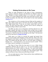#### **Making Declarations in His Name**

When we make declarations in the Name of Jesus, circumstances, devils, demons, sicknesses, diseases, and infirmities are obliged to listen and obey. Whether we shout excitedly about it or we just say it calmly and casually, we've been ordained to get results. Jesus said when you pray, don't be like the heathen who think they will be heard for their much speaking (Matthew 6:7).

This reminds me of the encounter between Elijah and the prophets of Baal. They called on their god to send down fire but he wouldn't respond. Then Elijah taunted them, "Come on, cry louder, maybe Baal went on a journey. He must come back today!" and they went on and on, ranting and raving and calling on Baal to answer them.

The Bible says they even cut themselves until they bled all over, still Baal didn't respond. But when it was Elijah's turn, he didn't have to repeat himself like the prophets of Baal. He just said, "O God, let these people know You sent me. Send fire from heaven and light up this thing!" God answered and the fire came down! (1 Kings 18:19-40).

Faith came to us when we received the gospel and passed from darkness into the light of the Kingdom of God's dear Son. That's why we're not required to have faith to use the Name of Jesus and to do things in His Name. We already had that faith when we were born again, according to Romans 12:3: *"...God hath dealt to every man the measure of faith."* We're not trying to beg for something, we're possessors!

The Name of Jesus Christ has been given to us as a blank cheque completely endorsed with our name on it. You can fill anything in that cheque because your Father's bank is a big one. You want divine health? Then fill it in! You can say, "In the Name of Jesus, I walk in divine health from this day forward. They're not taking me to that hospital again!" That sickness will have to leave when you use the Name of Jesus!

You can make decrees in Jesus' Name and have them established unto you. You can ask the Father in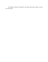the Name of Jesus for whatever you desire and receive them so your j o y c a n b e fu l l.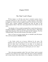## Chapter FOUR

#### The 'Real' Lord's Prayer

*In* this chapter, we will take some time to critically examine what is commonly referred to as 'the Lord's prayer.' I made reference to this subject in chapter two, which I will now explain in detail. We will look at 'the Lord's Prayer' from a purely scriptural viewpoint and clear up many of the misconceptions about it that have been passed down the Church over the years.

The disciples of Jesus actually prompted Him to teach them that prayer recorded in Matthew 6, popularly known as 'The Lord's Prayer.' When Jesus taught them this prayer, they were all still under the Old Testament. The New Testament hadn't come into effect because Jesus hadn't yet died.

Here, we'll get to see more reasons why we shouldn't pray this prayer. The Lord Jesus prayed in **Matthew 6:9-13:**

"…*Our Father which art in heaven, Hallowed be thy name. Thy kingdom come. Thy will be done in earth, as it is in heaven. Give us this day our daily bread. And forgive us our debts, as we forgive our debtors. And lead us not into temptation, but deliver us from evil: For thine is the kingdom, and the power, and the glory, for ever. Amen."*

This is the prayer popularly called 'The Lord's Prayer' and it is recited in almost every school in every nation where they pray to God as Christians and in many homes where they chorus it in a singsong. Everybody loves it;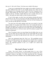they say it's 'the Lord's Prayer,' but Jesus never called it His prayer.

I want you to understand that Jesus taught on the subject of prayer in a way that's different from what we can actually practice now. There was the Old Testament way of praying, and now, there's the New Testament way of praying. What people call 'The Lord's prayer' is not for the Christian. You might as well say, 'Twinkle, twinkle little star, how I wonder what you are, Amen," and expect the same results as when you pray this prayer.

If you're born again, you don't have any business praying this prayer, and I'll tell you why: We're not living in the Old Testament but in the New. In fact, if you've been praying this prayer, God has not been hearing you! Now, you may not like that but it's the truth.

You may have felt really spiritual each time you recited it, but that doesn't matter. It's no prayer and it didn't work. Am I saying this because I don't like this prayer? No! I used to say the same prayer several years ago. I thought it was right, then I found out it was wrong. If we don't find things out from the Word of God, we will never know and will continue to grope in the darkness of ignorance.

Now I'm going to show you some things from the Bible, then you can make up your mind, and you better make up your mind right! But you must realize that you can make the right decision only when you've got the right information.

Don't get sentimental about this. Don't say, "My grandfather prayed this prayer, my father prayed it and I was raised in a church where we prayed it every day." It doesn't make any difference who taught you to recite this prayer. The important question to ask is, Is it right? Let's answer that question now.

#### '**The Lord's Prayer' or Is it?**

Firstly, 'The Lord's Prayer' as most people know it is not a New Testament prayer at all. There are two prayers by Jesus recorded in the 'New Testament' section of the Bible. I've often said that the New Testament doesn't begin at the book of Matthew like most Bible publishers indicate. The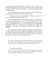New Testament actually started after the death of Jesus in John 19:30. Nonetheless, the Bible is divided into two sections: Genesis to Malachi, being the Old Testament section, and Matthew to Revelation, being the New Testament section.

Now, the first prayer, which most people refer to as the Lord's Prayer was not His prayer at all. This I will prove to you shortly.

The disciples came to Jesus and asked Him, "Master, teach us how to pray as John taught his disciples" (Luke 11:1).

Jesus answered and said, "After this manner pray ye." In other words, "I'll give you a guide line." Then He started, "Our Father, which art in heaven. Hallowed be Thy Name…" Now, at that time, this prayer was okay. It said, "Thy Kingdom come…" because at the time He was teaching them, the Kingdom hadn't yet come. But now the Kingdom has already come. Studying in the epistles, you'll discover this prayer has actually been abolished.

We need to find out what to pray about and how to pray from the New Testament. When you say 'New Testament' it presupposes that there is an old one. There is a better word for 'testament,' which is the word 'will.' When a man makes a will it can only come into effect after his death. As long as he's alive, you can't execute it. You'd be wrong to do that.

"*For where a testament is, there must also of necessity be the death of the testator. For a testament is of force after men are dead: otherwise it is of no strength at all while the testator liveth"* (Hebrews 9:16-17).

The NIV puts it this way:

"*In the case of a will, it is necessary to prove the death of the one who made it, because a will is in force only when somebody has died; it never takes ef ect while the one who made it is living."*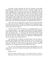The point is, until a man dies, his will is of no power. In most Bible translations, the publishers indicate the New Testament starting from the book of Matthew and I say that's not exactly true. In these Bibles, after the book of Malachi, there's a page that reads 'The New Testament of our Lord Jesus Christ' and then the page right next to that starts the gospel according to Saint Matthew. The New Testament couldn't have started with the birth of Jesus, because there couldn't have been one until He died. This means everything He taught before He died would need to be clearly understood to know if they were applicable only to those in the Old Testament (which was still in effect at the time before His death) or also applicable after His death.

Notice that when He taught them to pray this prayer before His death, His Name was never used. In the New Testament, we're commanded to pray in His Name. Back then they couldn't have used His Name because it didn't yet have the power for salvation.

This is one reason 'The Lord's Prayer' as it is popularly known is not a New Testament prayer. It was taught to the people of the Old Testament. Anyone today who prays: "Our father which art in heaven; Hallowed be thy name, thy kingdom come..." is praying like the Old Testament folks should have prayed, and that wouldn't work today, because that contract has ended. We now live in a new contract, under a new agreement, a *will* brought into force by the death of our Lord Jesus Christ.

Jesus Himself said, "In that day you shall not pray to Me, but whatever you shall ask the Father in My Name, He will give to you. Until now you haven't asked anything in My Name; ask that your joy may be full" (John 16:23-24). 'That day' is the day of the new agreement or contract. After His resurrection, we're supposed to pray to the Father in His Name.

Now, let's see certain points about this prayer that disqualify it as 'The Lord's Prayer' and why it should not be prayed by the Christian in the New Testament.

Matthew 6:9-10:

"*After this manner therefore pray ye: Our Father which art in heaven, Hallowed be thy name. Thy kingdom come. Thy will be done in earth, as*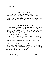*it is in heaven."*

#### **# 1. It's Just A Pattern**

In the first place, Jesus was only showing a pattern of prayer, because He said "*After this manner therefore pray ye"* You ought to understand that Jesus wasn't teaching us to pray this prayer, but showing us a guideline, letting us understand that in prayer, we begin by worshipping and praising God: "Our Father, which art in heaven, Hallowed be thy Name..."

#### **# 2. The Kingdom Has Come**

At the time Jesus taught His disciples to pray this prayer, the Kingdom hadn't yet come. So He prayed, *"Thy kingdom come.*" But we're in His Kingdom now. Colossians 1:12-13 says, "Giving thanks unto the Father, which hath made us meet (qualified) to be partakers of the inheritance of the saints in light. Who hath delivered us from the power of darkness, and hath translated us into the kingdom of his dear Son."

Did you notice this is in the past tense? It didn't say He *shall* make us meet, but He *hath made us meet*. He has already qualified us to be partakers of the inheritance of the saints in light. It also says that He "…*hath delivered us from the power of darkness, and hath translated us into the kingdom of His dear Son.*"

The word 'translated' means 'transferred,' that is 'to take from one place to another.' We've been taken out of darkness into the Kingdom of His dear Son. It doesn't say He shall translate us into the Kingdom of His dear Son, He has already done it! We're in His Kingdom now. So the prayer, *"Thy Kingdom come,"* was answered a long time ago.

# **# 3. Our Daily Bread Has Already Been Given**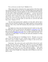"*Give us this day our daily bread"* (Matthew 6:11).

When Adam and Eve listened to the serpent and ate of the fruit of the tree God had forbidden them to eat, they committed high treason against Him and fell from His grace. By that singular act, they transferred their authority over the earth to Satan and brought a curse upon it: *"...cursed is the ground for thy sake; in sorrow shalt thou eat of it all the days of thy life; Thorns also and thistles shall it bring forth to thee; and thou shalt eat the herb of the field; In the sweat of thy face shalt thou eat bread, till thou return unto the ground; for out of it wast thou taken: for dust thou art, and unto dust shalt thou return"* Genesis 3:17-19**.**

The devil had assumed man's authority over the earth, and for man's needs to be met, he had to call upon God's higher authority to prevail against the devil. This is why, in the Old Testament, they had to pray to God for such blessings.

But thanks be to God, Jesus has broken the devil's hold over the earth! He stripped the devil of all his power and authority (Colossians 2:15), and gave to us the same authority He has over all things, including the earth and the devil himself (Matthew 28:18-20). Now, we don't need to ask God, "Give us this day our daily bread," we can bless the earth and command it to bring forth its increase.

That's why Paul says in 1 Corinthians 3:21-23, *"Therefore, let no man glory in men for all things are yours, whether Paul or Apollos or Cephas or the world or life or death or things present or things to come all are yours and ye are Christ's and Christ is God's."*

David said, *"The earth is the Lord's, and the fulness thereof; the world, and they that dwell therein"* (Psalm 24:1). But now we own it all together with Him. So now we don't pray, "Father, give us our daily bread," or "Give" me a house," "Give me a car" or "Lord, I need new clothes…." Don't pray like that anymore because you have arrived in the Kingdom – the land of plenty. You've been brought into a large place and all things are yours now, glory to God!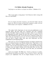## **# 4. Debts Already Forgiven**

"*And forgive us our debts as we forgive our debtors"* (Matthew 6:12).

This is once again a wrong prayer. You'll discover what's wrong with this as we read further:

"*For if ye forgive men their trespasses, your heavenly Father will also forgive you: But if ye forgive not men their trespasses, neither will your Father forgive your trespasses"* (Matthew 6:14-15).

This makes God's forgiveness of your sins pre-conditioned on your forgiving others, and that really isn't consistent with New Testament doctrine. God didn't forgive us because we forgave others. It's so important you understand this point, because the devil has used it to destroy a lot of lives. Old Testament Law said, "An eye for an eye; a tooth for a tooth. Do to others what you want them to do to you." So if you wanted God to forgive you, you had to forgive others first; thus your forgiveness was preconditioned on your forgiving others.

But it isn't so. You're not forgiven because you forgave someone else; you're not blessed because you blessed someone else. Forgiveness is your inheritance. You're forgiven because it's part of the package in the new contract. And you don't just forgive because you want your heavenly Father to forgive you; you forgive because you're born after Him; you have His nature. Your Father forgives, and since you're like Him, you necessarily forgive.

God is our example. The Bible says, "A*nd be ye kind one to another, tenderhearted, for-giving one another, even as God for Christ's sake hath forgiven you*" (Ephesians 4:32). So we forgive because we love to; we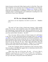forgive because our heavenly Father forgives and we're like Him. Thus in the New Testament, we're not given a law to forgive first before we are forgiven. This is why we can't pray this prayer in  $M$ atthew 6:12 because it makes forgiveness pre-conditioned on something we have to do. And in the New Testament, there's no blessing that is pre-conditioned on anything but on the shed blood of Jesus Christ, Hallelujah!

#### **#5. We Are Already Delivered**

"*And lead us not into temptation, but deliver us from evil..."* (Matthew 6:13).

The word 'evil' here is from a Greek noun 'poneros,' which actually means 'the evil one.' Some translations such as the Amplified Bible and the New International Version actually read, "deliver us from the evil one." Here the Lord was talking about the one who's responsible for evil, not necessarily an evil act, and we know who that is – the devil.

Now, if we pray 'deliver us from evil' then it means we're still subject to the devil. We can't accept that because He already told us in Colossians 1:13 that we've been delivered from the power and domain of darkness. They prayed this prayer then, because at that time, the evil one still had power over them and God was their succour. So they had to pray to Him to deliver them from the evil one. But now He says, "These signs shall follow them that believe: in My Name shall they cast out devils..." (Mark 16:17). To be able to cast out devils surely means you have authority over them, praise God!

In the New Testament, after the resurrection of the Lord Jesus Christ, there is no place in the Bible that suggests that we should pray about the devil or ask God's help against him.

When Jesus came out of the grave, He said, *"...All power* (that is, authority) *is given unto me in heaven and in earth. Go ye therefore…"* (Matthew 28:18). What this means is, "I've got all the power and authority; now go in My Name, in My power and in My authority!"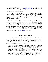This is not a promise. Moreover, the Father has declared that at the Name of Jesus every knee should bow (Philippians 2:10). So all the devils are aware; they know they've got to bow at the Name of Jesus, because it's the Name above every Name. Hallelujah!

We're not going to be delivered from evil because we've already been delivered from evil, and all the devils and evil powers have been placed under our feet. What we're required to do is use the Name of Jesus to keep them there. Therefore, this prayer "…deliver us from evil" is not consistent with New Testament doctrine.

There's a new kind of prayer for the New Testament. This 'Lord's prayer' was not for the New Testament; it was not prayed in Jesus' Name, for the use of His Name had not been revealed. He hadn't been given all power and authority, and you could only exercise authority in His Name to a certain limit. But when He died and was buried and rose again, He said, "Go into all the world and make disciples of all nations in My Name." Now He calls us His living proof-producers, not only in Jerusalem, Judea and Samaria, but in the uttermost parts of the earth  $(Acts 1:8)$ , praise God!

#### **The 'Real' Lord's Prayer**

From the many proofs I've shown you from the Scriptures, it's apparent that 'the Lord's Prayer' is really not *"Our Father, which art in Heaven* ... " found in Matthew 6. However, there's a prayer of the Lord Jesus in Saint John's gospel chapter 17. Now, that's really the Lord's Prayer because it's a Kingdom prayer, as we shall see:

"*These words spake Jesus, and lifted up his eyes to heaven, and said, Father, the hour is come; glorify thy Son, that thy Son also may glorify thee: As thou hast given him power over all flesh, that he should give eternal life to as many as thou hast given him. And this is life eternal, that they might know thee the only true God, and Jesus Christ, whom thou hast sent. I have glorified thee on the earth: I have finished the work which thou gavest me to do. And now, O Father, glorify thou me with thine own self with the glory which I had with thee before the world*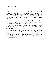*was"* (John 17:1-5).

This is a beautiful prayer Jesus prayed in line with what He had taught His disciples. Notice that His prayer of praise at the beginning is a confession, not of sins, but of God's works in His life. He said, "Father, the hour has come. Glorify Me, that I also may glorify You. You have given Me power over all flesh, that I should give eternal life to as many as You have given Me."

In just the same way, you should declare, "Father, I worship You today. Let Your Name be glorified in me that I also may glorify You, as You have given me authority to function in the Name of Jesus.

Jesus knew who He was and He said it; He confessed it in His prayers. He said, "You (Father) have given Me power over all flesh**…"** This is **'The Lord's Prayer'** for real!

It's good to know what's in 'The Book.' God said, "My people perish (suffer) for lack of knowledge" (Hosea 4:6). It's not a lack of the knowledge of Physics, Chemistry, Architecture or Medicine, but knowledge of the Word of God. But thank God, we're finding out; the Word is building our faith strong and we're developing in the things of the Spirit. We're becoming more knowledgeable in prayer.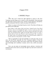# Chapter FIVE

#### A MODEL Prayer

*N*ow that you've learnt the right approach to prayer in the New Testament, put the things you've learnt to work immediately. Start practicing the right kind of prayer and do away with the wrong mind-sets, perceptions, practices and prayers that have made your prayer life ineffective.

Below is a prayer of the Spirit based on God's Word that will help you get started on the right path:

*Dear Father, in the Name of the Lord Jesus, I thank You for Your Word that has come to me through this book. I receive it into my spirit with meekness, gladness and faith. Your Word is mixed with faith in my heart and I am energized from within by the Holy Spirit to put it to work. I declare that as I put your Word to work in my prayer life, it produces the right results; my profiting through Your Word becomes evident as I receive answers to my prayers, in Jesus' Name*

This is a good place to start, but remember, it's only just a start. As you delve into the Word, especially the New Testament epistles of Paul the apostle, you'll discover many more prayer points that will greatly increase your knowledge and vocabulary in prayer, and in turn, enrich your prayer life.

Now, you can enjoy an increasingly joyous, glorious, victorious and prosperous life in the Lord as you pray the right way and receive answers to your prayers.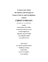# **To know more about the ministry and messages of Pastors Chris & Anita Oyakhilome**

#### **contact:**

# **CHRIST EMBASSY**

*aka* Believers' LoveWorld Inc.

#### **London:**

**Christ Embassy Int'l Office LoveWorld Conference Center Cheriton High Street, Folkestone, Kent CT19 4QJ Tel:+44(0)1303 270970 Fax: 01303 274 372**

**South Africa: Cnr. Harley and Bram Fischer Randburg, Gauteng. South Africa. Tel:+27-11-326 0971, +27-11-326 0972**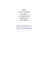**Nigeria: P.O. Box 13563, Ikeja, Lagos, Nigeria. Tel: +234-802 3324 188, +234-805 2464 131, +234-1-892 5724**

*email: cec@christembassy.org website: [www.christembassy.org](http://www.christembassy.org/)*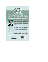

"God wants to answer ALL your prayers!"<br>If He had planned it any other way, He would never bave required you to pray. But<br>He'll hear and answer only when you're 'PRAYING THE RIGHT WAY.'<br>Comprebensive book by Chris Oyakbilo

PRAYING THE RIGHT WAY not only offers you simple, tested and proven principles<br>of effective prayer, it also ignites in your beart an enduring passion for prayer. The results<br>are guaranteed a life full of joy and peace as y



Through an anointed ministry spanning over 30 years, Pastor, teacher, healing minister, television host and best-selling author Chris Ovakhilome has helped millions experience a victorious and purposeful life in God's Word.

He is the author of several bestsellers such as 'None of These Diseases' and 'Rhapsody of Realities' which he co-authors with his wife, Pastor Anita. His teachings are also available in all audio and video formats.

Presiding over an ever-widening network of Christ Embassy Churches and campus fellowships on all five continents, Rev. Chris also pastors one of the largest congregations in Africa. He holds massive teaching and healing crusades with crowds of over 3.5 million in a single night's event. In Year 2003, he pioneered the first 24-hour Christian Television Network from Africa to the rest of the world. He is also the host of 'Atmosphere for Miracles,' a programme on major television networks around the world, which brings God's divine presence right into your home.

The world renowned Healing School is a ministry of Pastor Chris which manifests the healing works of Jesus Christ today, and has helped many receive healings and miracles through the operation of the gifts of the Spirit.



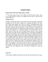# **SCRIPTURES**

#### **Deuteronomy 29:29 (New King James Version)**

<sup>29</sup> "The secret *things belong* to the LORD our God, but those *things which are* revealed *belong* to us and to our children forever, that *we* may do all the words of this law.

#### **Exodus 32:7-14**

And the Lord said unto Moses, Go, get thee down; for thy people, which thou broughtest out of the land of Egypt, have corrupted themselves: [8] They have turned aside quickly out of the way which I commanded them: they have made them a molten calf, and have worshipped it, and have sacrificed thereunto, and said, These be thy gods, O Israel, which have brought thee up out of the land of Egypt. [9] And the Lord said unto Moses, I have seen this people, and, behold, it is a stiffnecked people: [10] Now therefore let me alone, that my wrath may wax hot against them, and that I may consume them: and I will make of thee a great nation. [11] And Moses besought the Lord his God, and said, Lord, why doth thy wrath wax hot against thy people, which thou hast brought forth out of the land of Egypt with great power, and with a mighty hand? [12] Wherefore should the Egyptians speak, and say, For mischief did he bring them out, to slay them in the mountains, and to consume them from the face of the earth? Turn from thy fierce wrath, and repent of this evil against thy people. [13] Remember Abraham, Isaac, and Israel, thy servants, to whom thou swarest by thine own self, and saidst unto them, I will multiply your seed as the stars of heaven, and all this land that I have spoken of will I give unto your seed, and they shall inherit it for ever. [14] And the Lord repented of the evil which he thought to do unto his people.

#### **Luke 18:1**

And he spake a parable unto them to this end, that men ought always to pray,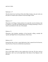and not to faint;

Ephesians 1:17

That the God of our Lord Jesus Christ, the Father of glory, may give unto you the spirit of wisdom and revelation in the knowledge of him:

Hebrews 2:17

Wherefore in all things it behoved him to be made like unto his brethren, that he might be a merciful and faithful high priest in things pertaining to God, to make reconciliation for the sins of the people.

Hebrews 3:1

Wherefore, holy brethren, partakers of the heavenly calling, consider the Apostle and High Priest of our profession, Christ Jesus;

Hebrews 4:14

Seeing then that we have a great high priest, that is passed into the heavens, Jesus the Son of God, let us hold fast our profession.

Hebrews 8:1

Now of the things which we have spoken this is the sum: We have such an high priest, who is set on the right hand of the throne of the Majesty in the heavens;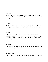Hebrews 9:11

But Christ being come an high priest of good things to come, by a greater and more perfect tabernacle, not made with hands, that is to say, not of this building;

1 John 2:1

My little children, these things write I unto you, that ye sin not. And if any man sin, we have an advocate with the Father, Jesus Christ the righteous:

John 16:23-24

And in that day ye shall ask me nothing. Verily, verily, I say unto you, Whatsoever ye shall ask the Father in my name, he will give it you. [24] Hitherto have ye asked nothing in my name: ask, and ye shall receive, that your joy may be full.

Colossians 2:15

And having spoiled principalities and powers, he made a shew of them openly, triumphing over them in it.

Matthew 28:18-20

And Jesus came and spake unto them, saying, All power is given unto me in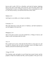heaven and in earth. [19] Go ye therefore, and teach all nations, baptizing them in the name of the Father, and of the Son, and of the Holy Ghost: [20] Teaching them to observe all things whatsoever I have commanded you: and, lo, I am with you alway, even unto the end of the world. Amen.

Matthew 6:12

And forgive us our debts, as we forgive our debtors.

Colossians 1:13

Who hath delivered us from the power of darkness, and hath translated us into the kingdom of his dear Son:

Philippians 2:10

That at the name of Jesus every knee should bow, of things in heaven, and things in earth, and things under the earth;

Acts  $1:8$ 

But ye shall receive power, after that the Holy Ghost is come upon you: and ye shall be witnesses unto me both in Jerusalem, and in all Judaea, and in Samaria, and unto the uttermost part of the earth.

1 Kings 18:19-40

Now therefore send, and gather to me all Israel unto mount Carmel, and the prophets of Baal four hundred and fifty, and the prophets of the groves four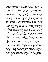hundred, which eat at Jezebel's table. [20] So Ahab sent unto all the children of Israel, and gathered the prophets together unto mount Carmel. [21] And Elijah came unto all the people, and said, How long halt ye between two opinions? if the Lord be God, follow him: but if Baal, then follow him. And the people answered him not a word. [22] Then said Elijah unto the people, I, even I only, remain a prophet of the Lord; but Baal's prophets are four hundred and fifty men. [23] Let them therefore give us two bullocks; and let them choose one bullock for themselves, and cut it in pieces, and lay it on wood, and put no fire under: and I will dress the other bullock, and lay it on wood, and put no fire under: [24] And call ye on the name of your gods, and I will call on the name of the Lord: and the God that answereth by fire, let him be God. And all the people answered and said, It is well spoken. [25] And Elijah said unto the prophets of Baal, Choose you one bullock for yourselves, and dress it first; for ye are many; and call on the name of your gods, but put no fire under. [26] And they took the bullock which was given them, and they dressed it, and called on the name of Baal from morning even until noon, saying, O Baal, hear us. But there was no voice, nor any that answered. And they leaped upon the altar which was made. [27] And it came to pass at noon, that Elijah mocked them, and said, Cry aloud: for he is a god; either he is talking, or he is pursuing, or he is in a journey, or peradventure he sleepeth, and must be awaked. [28] And they cried aloud, and cut themselves after their manner with knives and lancets, till the blood gushed out upon them. [29] And it came to pass, when midday was past, and they prophesied until the time of the offering of the evening sacrifice, that there was neither voice, nor any to answer, nor any that regarded. [30] And Elijah said unto all the people, Come near unto me. And all the people came near unto him. And he repaired the altar of the Lord that was broken down. [31] And Elijah took twelve stones, according to the number of the tribes of the sons of Jacob, unto whom the word of the Lord came, saying, Israel shall be thy name: [32] And with the stones he built an altar in the name of the Lord: and he made a trench about the altar, as great as would contain two measures of seed. [33] And he put the wood in order, and cut the bullock in pieces, and laid him on the wood, and said, Fill four barrels with water, and pour it on the burnt sacrifice, and on the wood. [34] And he said, Do it the second time. And they did it the second time. And he said, Do it the third time. And they did it the third time. [35] And the water ran round about the altar; and he filled the trench also with water. [36] And it came to pass at the time of the offering of the evening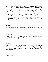sacrifice, that Elijah the prophet came near, and said, Lord God of Abraham, Isaac, and of Israel, let it be known this day that thou art God in Israel, and that I am thy servant, and that I have done all these things at thy word. [37] Hear me, O Lord, hear me, that this people may know that thou art the Lord God, and that thou hast turned their heart back again. [38] Then the fire of the Lord fell, and consumed the burnt sacrifice, and the wood, and the stones, and the dust, and licked up the water that was in the trench. [39] And when all the people saw it, they fell on their faces: and they said, The Lord, he is the God; the Lord, he is the God. [40] And Elijah said unto them, Take the prophets of Baal; let not one of them escape. And they took them: and Elijah brought them down to the brook Kishon, and slew them there.

Matthew 6:7

But when ye pray, use not vain repetitions, as the heathen do: for they think that they shall be heard for their much speaking.

John 14:13-14

And whatsoever ye shall ask in my name, that will I do, that the Father may be glorified in the Son. [14] If ye shall ask any thing in my name, I will do it.

John 16:23-24

And in that day ye shall ask me nothing. Verily, verily, I say unto you, Whatsoever ye shall ask the Father in my name, he will give it you. [24] Hitherto have ye asked nothing in my name: ask, and ye shall receive, that your joy may be full.

2 Kings 20:1-21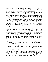In those days was Hezekiah sick unto death. And the prophet Isaiah the son of Amoz came to him, and said unto him, Thus saith the Lord, Set thine house in order; for thou shalt die, and not live. [2] Then he turned his face to the wall, and prayed unto the Lord, saying, [3] I beseech thee, O Lord, remember now how I have walked before thee in truth and with a perfect heart, and have done that which is good in thy sight. And Hezekiah wept sore. [4] And it came to pass, afore Isaiah was gone out into the middle court, that the word of the Lord came to him, saying, [5] Turn again, and tell Hezekiah the captain of my people, Thus saith the Lord, the God of David thy father, I have heard thy prayer, I have seen thy tears: behold, I will heal thee: on the third day thou shalt go up unto the house of the Lord. [6] And I will add unto thy days fifteen years; and I will deliver thee and this city out of the hand of the king of Assyria; and I will defend this city for mine own sake, and for my servant David's sake. [7] And Isaiah said, Take a lump of figs. And they took and laid it on the boil, and he recovered.

[8] And Hezekiah said unto Isaiah, What shall be the sign that the Lord will heal me, and that I shall go up into the house of the Lord the third day? [9] And Isaiah said, This sign shalt thou have of the Lord, that the Lord will do the thing that he hath spoken: shall the shadow go forward ten degrees, or go back ten degrees? [10] And Hezekiah answered, It is a light thing for the shadow to go down ten degrees: nay, but let the shadow return backward ten degrees. [11] And Isaiah the prophet cried unto the Lord: and he brought the shadow ten degrees backward, by which it had gone down in the dial of Ahaz.

[12] At that time Berodach-baladan, the son of Baladan, king of Babylon, sent letters and a present unto Hezekiah: for he had heard that Hezekiah had been sick. [13] And Hezekiah hearkened unto them, and shewed them all the house of his precious things, the silver, and the gold, and the spices, and the precious ointment, and all the house of his armour, and all that was found in his treasures: there was nothing in his house, nor in all his dominion, that Hezekiah shewed them not.

[14] Then came Isaiah the prophet unto king Hezekiah, and said unto him, What said these men? and from whence came they unto thee? And Hezekiah said, They are come from a far country, even from Babylon. [15] And he said, What have they seen in thine house? And Hezekiah answered, All the